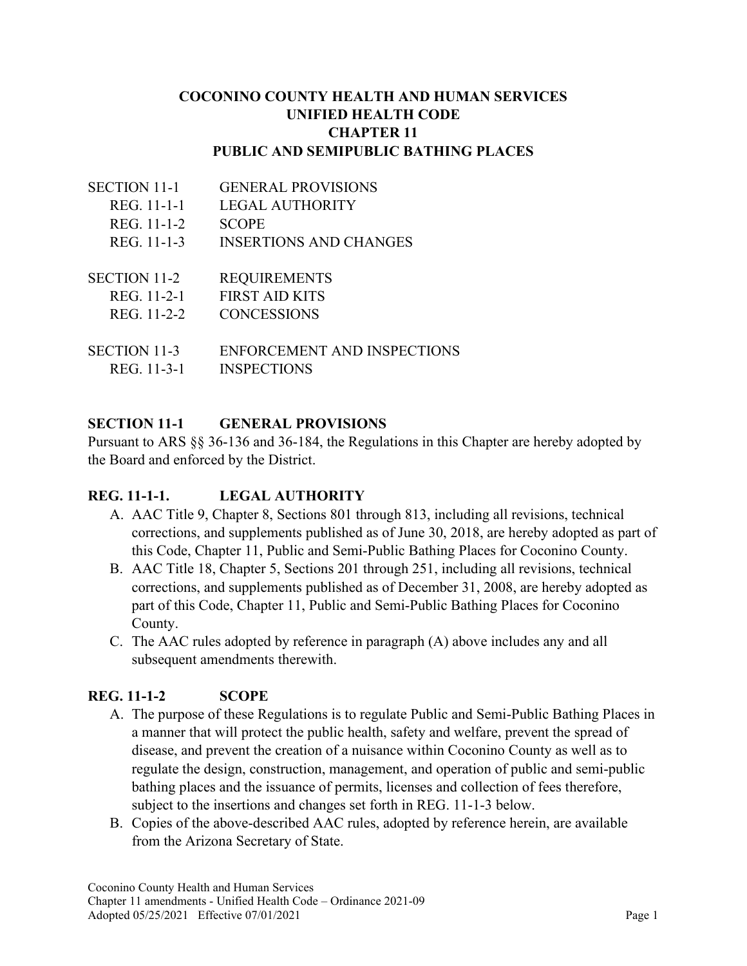### **COCONINO COUNTY HEALTH AND HUMAN SERVICES UNIFIED HEALTH CODE CHAPTER 11 PUBLIC AND SEMIPUBLIC BATHING PLACES**

| <b>SECTION 11-1</b> | <b>GENERAL PROVISIONS</b>     |
|---------------------|-------------------------------|
| REG. 11-1-1         | <b>LEGAL AUTHORITY</b>        |
| REG. 11-1-2         | <b>SCOPE</b>                  |
| REG. 11-1-3         | <b>INSERTIONS AND CHANGES</b> |
|                     |                               |
| <b>SECTION 11-2</b> | <b>REQUIREMENTS</b>           |
| REG. 11-2-1         | <b>FIRST AID KITS</b>         |
| REG. 11-2-2         | <b>CONCESSIONS</b>            |
|                     |                               |
| SECTION 11-3        | ENFORCEMENT AND INSPECTIONS   |
| REG. 11-3-1         | <b>INSPECTIONS</b>            |

### **SECTION 11-1 GENERAL PROVISIONS**

Pursuant to ARS §§ 36-136 and 36-184, the Regulations in this Chapter are hereby adopted by the Board and enforced by the District.

# **REG. 11-1-1. LEGAL AUTHORITY**

- A. AAC Title 9, Chapter 8, Sections 801 through 813, including all revisions, technical corrections, and supplements published as of June 30, 2018, are hereby adopted as part of this Code, Chapter 11, Public and Semi-Public Bathing Places for Coconino County.
- B. AAC Title 18, Chapter 5, Sections 201 through 251, including all revisions, technical corrections, and supplements published as of December 31, 2008, are hereby adopted as part of this Code, Chapter 11, Public and Semi-Public Bathing Places for Coconino County.
- C. The AAC rules adopted by reference in paragraph (A) above includes any and all subsequent amendments therewith.

# **REG. 11-1-2 SCOPE**

- A. The purpose of these Regulations is to regulate Public and Semi-Public Bathing Places in a manner that will protect the public health, safety and welfare, prevent the spread of disease, and prevent the creation of a nuisance within Coconino County as well as to regulate the design, construction, management, and operation of public and semi-public bathing places and the issuance of permits, licenses and collection of fees therefore, subject to the insertions and changes set forth in REG. 11-1-3 below.
- B. Copies of the above-described AAC rules, adopted by reference herein, are available from the Arizona Secretary of State.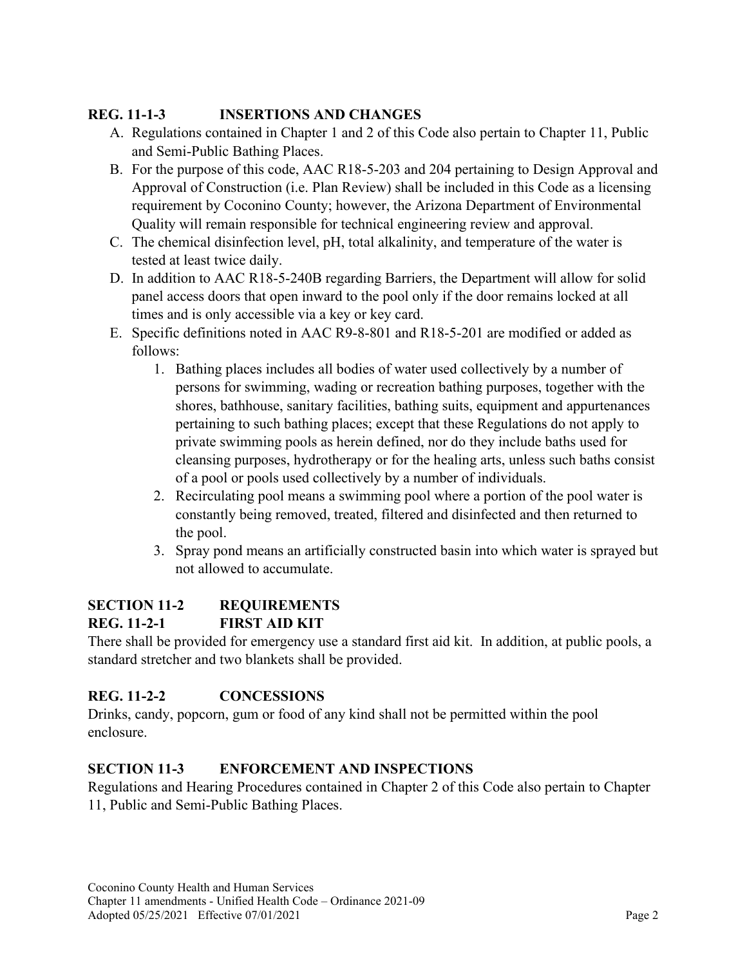# **REG. 11-1-3 INSERTIONS AND CHANGES**

- A. Regulations contained in Chapter 1 and 2 of this Code also pertain to Chapter 11, Public and Semi-Public Bathing Places.
- B. For the purpose of this code, AAC R18-5-203 and 204 pertaining to Design Approval and Approval of Construction (i.e. Plan Review) shall be included in this Code as a licensing requirement by Coconino County; however, the Arizona Department of Environmental Quality will remain responsible for technical engineering review and approval.
- C. The chemical disinfection level, pH, total alkalinity, and temperature of the water is tested at least twice daily.
- D. In addition to AAC R18-5-240B regarding Barriers, the Department will allow for solid panel access doors that open inward to the pool only if the door remains locked at all times and is only accessible via a key or key card.
- E. Specific definitions noted in AAC R9-8-801 and R18-5-201 are modified or added as follows:
	- 1. Bathing places includes all bodies of water used collectively by a number of persons for swimming, wading or recreation bathing purposes, together with the shores, bathhouse, sanitary facilities, bathing suits, equipment and appurtenances pertaining to such bathing places; except that these Regulations do not apply to private swimming pools as herein defined, nor do they include baths used for cleansing purposes, hydrotherapy or for the healing arts, unless such baths consist of a pool or pools used collectively by a number of individuals.
	- 2. Recirculating pool means a swimming pool where a portion of the pool water is constantly being removed, treated, filtered and disinfected and then returned to the pool.
	- 3. Spray pond means an artificially constructed basin into which water is sprayed but not allowed to accumulate.

# **SECTION 11-2 REQUIREMENTS**

# **REG. 11-2-1 FIRST AID KIT**

There shall be provided for emergency use a standard first aid kit. In addition, at public pools, a standard stretcher and two blankets shall be provided.

# **REG. 11-2-2 CONCESSIONS**

Drinks, candy, popcorn, gum or food of any kind shall not be permitted within the pool enclosure.

# **SECTION 11-3 ENFORCEMENT AND INSPECTIONS**

Regulations and Hearing Procedures contained in Chapter 2 of this Code also pertain to Chapter 11, Public and Semi-Public Bathing Places.